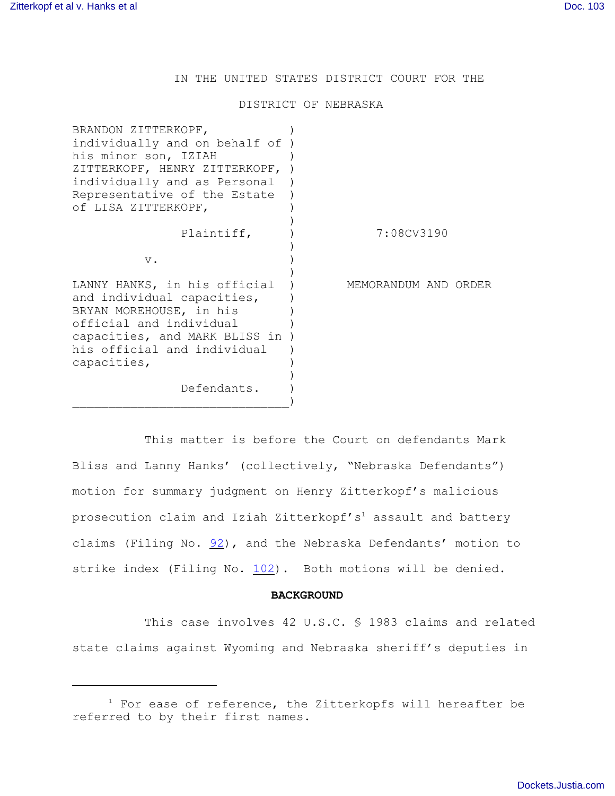IN THE UNITED STATES DISTRICT COURT FOR THE

## DISTRICT OF NEBRASKA

| BRANDON ZITTERKOPF,<br>individually and on behalf of )<br>his minor son, IZIAH<br>ZITTERKOPF, HENRY ZITTERKOPF,<br>individually and as Personal<br>Representative of the Estate<br>of LISA ZITTERKOPF, |                      |
|--------------------------------------------------------------------------------------------------------------------------------------------------------------------------------------------------------|----------------------|
| Plaintiff,                                                                                                                                                                                             | 7:08CV3190           |
| $V$ .                                                                                                                                                                                                  |                      |
| LANNY HANKS, in his official<br>and individual capacities,<br>BRYAN MOREHOUSE, in his<br>official and individual<br>capacities, and MARK BLISS in )<br>his official and individual<br>capacities,      | MEMORANDUM AND ORDER |
| Defendants.                                                                                                                                                                                            |                      |

This matter is before the Court on defendants Mark Bliss and Lanny Hanks' (collectively, "Nebraska Defendants") motion for summary judgment on Henry Zitterkopf's malicious prosecution claim and Iziah Zitterkopf's<sup>1</sup> assault and battery claims (Filing No. [92](http://ecf.ned.uscourts.gov/doc1/11301996672)), and the Nebraska Defendants' motion to strike index (Filing No. [102](http://ecf.ned.uscourts.gov/doc1/11302036721)). Both motions will be denied.

## **BACKGROUND**

This case involves 42 U.S.C. § 1983 claims and related state claims against Wyoming and Nebraska sheriff's deputies in

 $1$  For ease of reference, the Zitterkopfs will hereafter be referred to by their first names.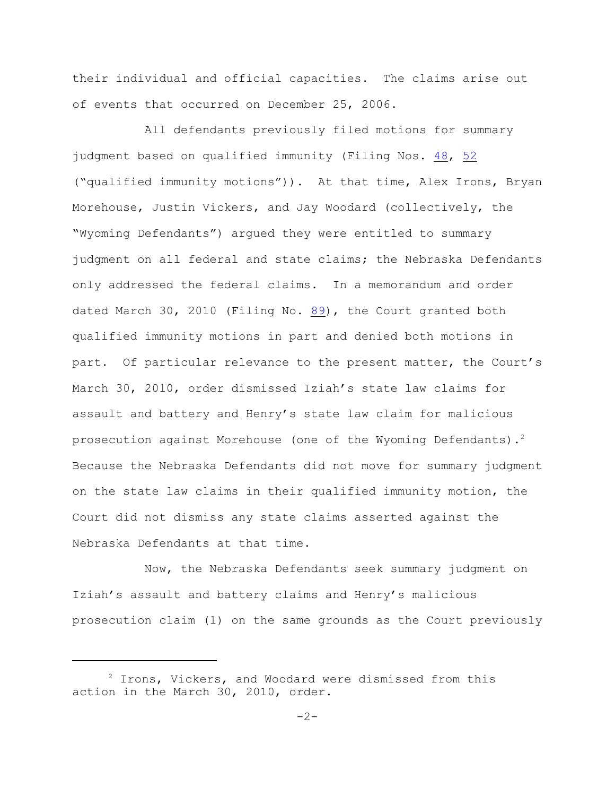their individual and official capacities. The claims arise out of events that occurred on December 25, 2006.

All defendants previously filed motions for summary judgment based on qualified immunity (Filing Nos. [48](http://ecf.ned.uscourts.gov/doc1/11301905984), [52](file:///|//08cv3190) ("qualified immunity motions")). At that time, Alex Irons, Bryan Morehouse, Justin Vickers, and Jay Woodard (collectively, the "Wyoming Defendants") argued they were entitled to summary judgment on all federal and state claims; the Nebraska Defendants only addressed the federal claims. In a memorandum and order dated March 30, 2010 (Filing No. [89](http://ecf.ned.uscourts.gov/doc1/11301984131)), the Court granted both qualified immunity motions in part and denied both motions in part. Of particular relevance to the present matter, the Court's March 30, 2010, order dismissed Iziah's state law claims for assault and battery and Henry's state law claim for malicious prosecution against Morehouse (one of the Wyoming Defendants).<sup>2</sup> Because the Nebraska Defendants did not move for summary judgment on the state law claims in their qualified immunity motion, the Court did not dismiss any state claims asserted against the Nebraska Defendants at that time.

Now, the Nebraska Defendants seek summary judgment on Iziah's assault and battery claims and Henry's malicious prosecution claim (1) on the same grounds as the Court previously

 $2$  Irons, Vickers, and Woodard were dismissed from this action in the March 30, 2010, order.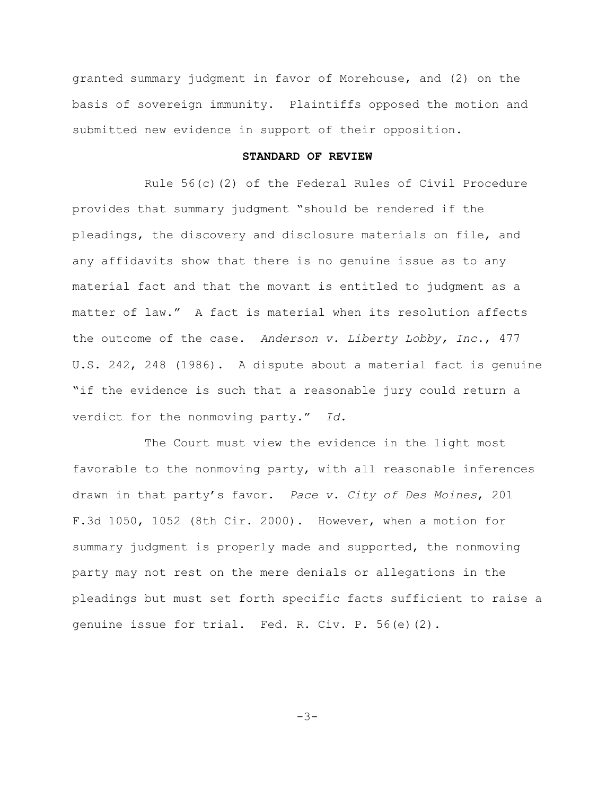granted summary judgment in favor of Morehouse, and (2) on the basis of sovereign immunity. Plaintiffs opposed the motion and submitted new evidence in support of their opposition.

## **STANDARD OF REVIEW**

Rule 56(c)(2) of the Federal Rules of Civil Procedure provides that summary judgment "should be rendered if the pleadings, the discovery and disclosure materials on file, and any affidavits show that there is no genuine issue as to any material fact and that the movant is entitled to judgment as a matter of law." A fact is material when its resolution affects the outcome of the case. *Anderson v. Liberty Lobby, Inc.*, 477 U.S. 242, 248 (1986). A dispute about a material fact is genuine "if the evidence is such that a reasonable jury could return a verdict for the nonmoving party." *Id.*

The Court must view the evidence in the light most favorable to the nonmoving party, with all reasonable inferences drawn in that party's favor. *Pace v. City of Des Moines*, 201 F.3d 1050, 1052 (8th Cir. 2000). However, when a motion for summary judgment is properly made and supported, the nonmoving party may not rest on the mere denials or allegations in the pleadings but must set forth specific facts sufficient to raise a genuine issue for trial. Fed. R. Civ. P. 56(e)(2).

-3-